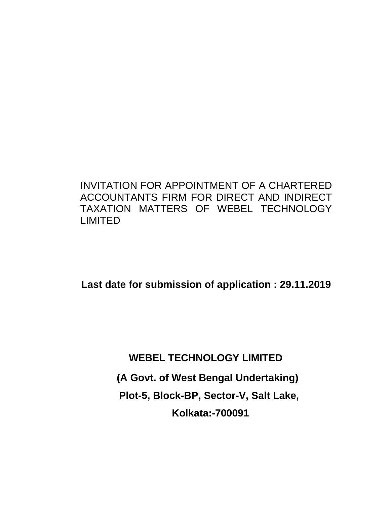INVITATION FOR APPOINTMENT OF A CHARTERED ACCOUNTANTS FIRM FOR DIRECT AND INDIRECT TAXATION MATTERS OF WEBEL TECHNOLOGY LIMITED

**Last date for submission of application : 29.11.2019**

**WEBEL TECHNOLOGY LIMITED (A Govt. of West Bengal Undertaking) Plot-5, Block-BP, Sector-V, Salt Lake, Kolkata:-700091**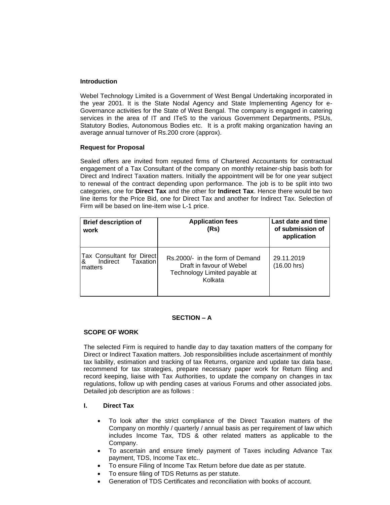### **Introduction**

Webel Technology Limited is a Government of West Bengal Undertaking incorporated in the year 2001. It is the State Nodal Agency and State Implementing Agency for e-Governance activities for the State of West Bengal. The company is engaged in catering services in the area of IT and ITeS to the various Government Departments, PSUs, Statutory Bodies, Autonomous Bodies etc. It is a profit making organization having an average annual turnover of Rs.200 crore (approx).

### **Request for Proposal**

Sealed offers are invited from reputed firms of Chartered Accountants for contractual engagement of a Tax Consultant of the company on monthly retainer-ship basis both for Direct and Indirect Taxation matters. Initially the appointment will be for one year subject to renewal of the contract depending upon performance. The job is to be split into two categories, one for **Direct Tax** and the other for **Indirect Tax**. Hence there would be two line items for the Price Bid, one for Direct Tax and another for Indirect Tax. Selection of Firm will be based on line-item wise L-1 price.

| <b>Brief description of</b><br>work                               | <b>Application fees</b><br>(Rs)                                                                         | Last date and time<br>of submission of<br>application |  |  |
|-------------------------------------------------------------------|---------------------------------------------------------------------------------------------------------|-------------------------------------------------------|--|--|
| Tax Consultant for Direct<br>Indirect<br>Taxation<br>&<br>matters | Rs.2000/- in the form of Demand<br>Draft in favour of Webel<br>Technology Limited payable at<br>Kolkata | 29.11.2019<br>(16.00 hrs)                             |  |  |

### **SECTION – A**

### **SCOPE OF WORK**

The selected Firm is required to handle day to day taxation matters of the company for Direct or Indirect Taxation matters. Job responsibilities include ascertainment of monthly tax liability, estimation and tracking of tax Returns, organize and update tax data base, recommend for tax strategies, prepare necessary paper work for Return filing and record keeping, liaise with Tax Authorities, to update the company on changes in tax regulations, follow up with pending cases at various Forums and other associated jobs. Detailed job description are as follows :

### **I. Direct Tax**

- To look after the strict compliance of the Direct Taxation matters of the Company on monthly / quarterly / annual basis as per requirement of law which includes Income Tax, TDS & other related matters as applicable to the Company.
- To ascertain and ensure timely payment of Taxes including Advance Tax payment, TDS, Income Tax etc..
- To ensure Filing of Income Tax Return before due date as per statute.
- To ensure filing of TDS Returns as per statute.
- Generation of TDS Certificates and reconciliation with books of account.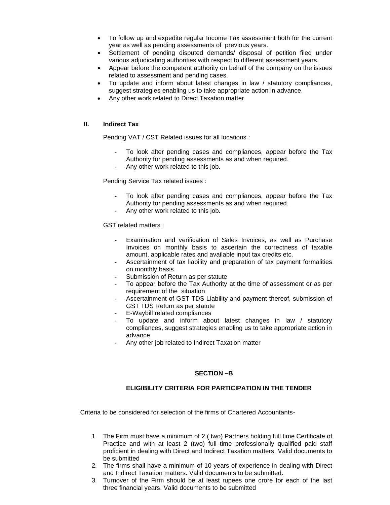- To follow up and expedite regular Income Tax assessment both for the current year as well as pending assessments of previous years.
- Settlement of pending disputed demands/ disposal of petition filed under various adjudicating authorities with respect to different assessment years.
- Appear before the competent authority on behalf of the company on the issues related to assessment and pending cases.
- To update and inform about latest changes in law / statutory compliances, suggest strategies enabling us to take appropriate action in advance.
- Any other work related to Direct Taxation matter

## **II. Indirect Tax**

Pending VAT / CST Related issues for all locations :

- To look after pending cases and compliances, appear before the Tax Authority for pending assessments as and when required.
- Any other work related to this job.

Pending Service Tax related issues :

- To look after pending cases and compliances, appear before the Tax Authority for pending assessments as and when required.
- Any other work related to this job.

GST related matters :

- Examination and verification of Sales Invoices, as well as Purchase Invoices on monthly basis to ascertain the correctness of taxable amount, applicable rates and available input tax credits etc.
- Ascertainment of tax liability and preparation of tax payment formalities on monthly basis.
- Submission of Return as per statute
- To appear before the Tax Authority at the time of assessment or as per requirement of the situation
- Ascertainment of GST TDS Liability and payment thereof, submission of GST TDS Return as per statute
- E-Waybill related compliances
- To update and inform about latest changes in law / statutory compliances, suggest strategies enabling us to take appropriate action in advance
- Any other job related to Indirect Taxation matter

## **SECTION –B**

## **ELIGIBILITY CRITERIA FOR PARTICIPATION IN THE TENDER**

Criteria to be considered for selection of the firms of Chartered Accountants-

- 1 The Firm must have a minimum of 2 ( two) Partners holding full time Certificate of Practice and with at least 2 (two) full time professionally qualified paid staff proficient in dealing with Direct and Indirect Taxation matters. Valid documents to be submitted
- 2. The firms shall have a minimum of 10 years of experience in dealing with Direct and Indirect Taxation matters. Valid documents to be submitted.
- 3. Turnover of the Firm should be at least rupees one crore for each of the last three financial years. Valid documents to be submitted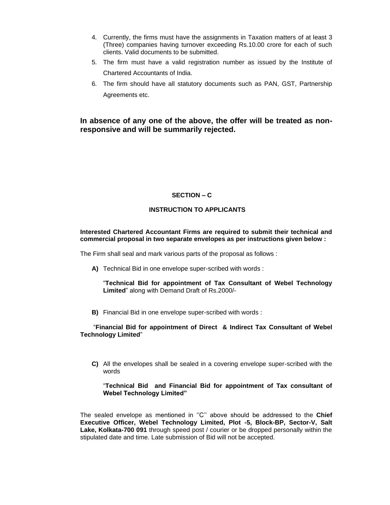- 4. Currently, the firms must have the assignments in Taxation matters of at least 3 (Three) companies having turnover exceeding Rs.10.00 crore for each of such clients. Valid documents to be submitted.
- 5. The firm must have a valid registration number as issued by the Institute of Chartered Accountants of India.
- 6. The firm should have all statutory documents such as PAN, GST, Partnership Agreements etc.

# **In absence of any one of the above, the offer will be treated as nonresponsive and will be summarily rejected.**

## **SECTION – C**

### **INSTRUCTION TO APPLICANTS**

### **Interested Chartered Accountant Firms are required to submit their technical and commercial proposal in two separate envelopes as per instructions given below :**

The Firm shall seal and mark various parts of the proposal as follows :

**A)** Technical Bid in one envelope super-scribed with words :

"**Technical Bid for appointment of Tax Consultant of Webel Technology Limited**" along with Demand Draft of Rs.2000/-

**B)** Financial Bid in one envelope super-scribed with words :

### "**Financial Bid for appointment of Direct & Indirect Tax Consultant of Webel Technology Limited**"

**C)** All the envelopes shall be sealed in a covering envelope super-scribed with the words

"**Technical Bid and Financial Bid for appointment of Tax consultant of Webel Technology Limited"**

The sealed envelope as mentioned in ''C'' above should be addressed to the **Chief Executive Officer, Webel Technology Limited, Plot -5, Block-BP, Sector-V, Salt Lake, Kolkata-700 091** through speed post / courier or be dropped personally within the stipulated date and time. Late submission of Bid will not be accepted.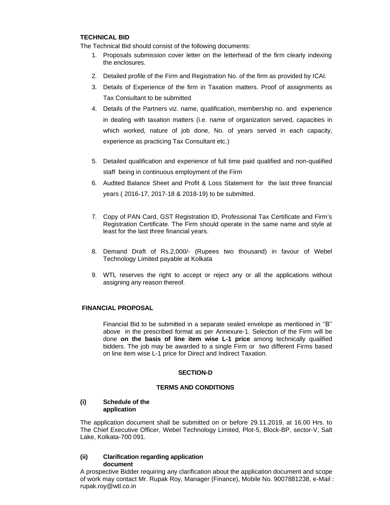### **TECHNICAL BID**

The Technical Bid should consist of the following documents:

- 1. Proposals submission cover letter on the letterhead of the firm clearly indexing the enclosures.
- 2. Detailed profile of the Firm and Registration No. of the firm as provided by ICAI.
- 3. Details of Experience of the firm in Taxation matters. Proof of assignments as Tax Consultant to be submitted
- 4. Details of the Partners viz. name, qualification, membership no. and experience in dealing with taxation matters (i.e. name of organization served, capacities in which worked, nature of job done, No. of years served in each capacity, experience as practicing Tax Consultant etc.)
- 5. Detailed qualification and experience of full time paid qualified and non-qualified staff being in continuous employment of the Firm
- 6. Audited Balance Sheet and Profit & Loss Statement for the last three financial years ( 2016-17, 2017-18 & 2018-19) to be submitted.
- 7. Copy of PAN Card, GST Registration ID, Professional Tax Certificate and Firm's Registration Certificate. The Firm should operate in the same name and style at least for the last three financial years.
- 8. Demand Draft of Rs.2,000/- (Rupees two thousand) in favour of Webel Technology Limited payable at Kolkata
- 9. WTL reserves the right to accept or reject any or all the applications without assigning any reason thereof.

### **FINANCIAL PROPOSAL**

Financial Bid to be submitted in a separate sealed envelope as mentioned in ''B'' above in the prescribed format as per Annexure-1. Selection of the Firm will be done **on the basis of line item wise L-1 price** among technically qualified bidders. The job may be awarded to a single Firm or two different Firms based on line item wise L-1 price for Direct and Indirect Taxation.

## **SECTION-D**

## **TERMS AND CONDITIONS**

### **(i) Schedule of the application**

The application document shall be submitted on or before 29.11.2019, at 16.00 Hrs. to The Chief Executive Officer, Webel Technology Limited, Plot-5, Block-BP, sector-V, Salt Lake, Kolkata-700 091.

## **(ii) Clarification regarding application document**

A prospective Bidder requiring any clarification about the application document and scope of work may contact Mr. Rupak Roy, Manager (Finance), Mobile No. 9007881238, e-Mail : rupak.roy@wtl.co.in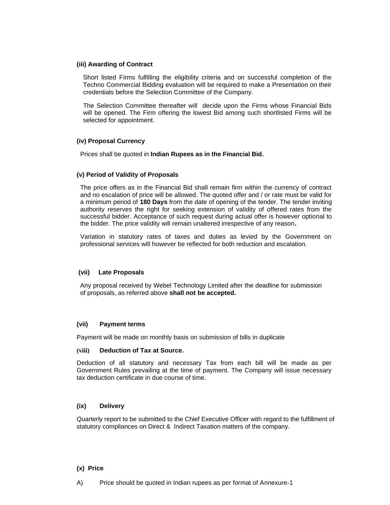#### **(iii) Awarding of Contract**

Short listed Firms fulfilling the eligibility criteria and on successful completion of the Techno Commercial Bidding evaluation will be required to make a Presentation on their credentials before the Selection Committee of the Company.

The Selection Committee thereafter will decide upon the Firms whose Financial Bids will be opened. The Firm offering the lowest Bid among such shortlisted Firms will be selected for appointment.

### **(iv) Proposal Currency**

Prices shall be quoted in **Indian Rupees as in the Financial Bid.**

#### **(v) Period of Validity of Proposals**

The price offers as in the Financial Bid shall remain firm within the currency of contract and no escalation of price will be allowed. The quoted offer and / or rate must be valid for a minimum period of **180 Days** from the date of opening of the tender. The tender inviting authority reserves the right for seeking extension of validity of offered rates from the successful bidder. Acceptance of such request during actual offer is however optional to the bidder. The price validity will remain unaltered irrespective of any reason**.**

Variation in statutory rates of taxes and duties as levied by the Government on professional services will however be reflected for both reduction and escalation.

### **(vii) Late Proposals**

Any proposal received by Webel Technology Limited after the deadline for submission of proposals, as referred above **shall not be accepted.**

### **(vii) Payment terms**

Payment will be made on monthly basis on submission of bills in duplicate

#### **(viii) Deduction of Tax at Source.**

Deduction of all statutory and necessary Tax from each bill will be made as per Government Rules prevailing at the time of payment. The Company will issue necessary tax deduction certificate in due course of time.

### **(ix) Delivery**

Quarterly report to be submitted to the Chief Executive Officer with regard to the fulfillment of statutory compliances on Direct & Indirect Taxation matters of the company.

#### **(x) Price**

A) Price should be quoted in Indian rupees as per format of Annexure-1